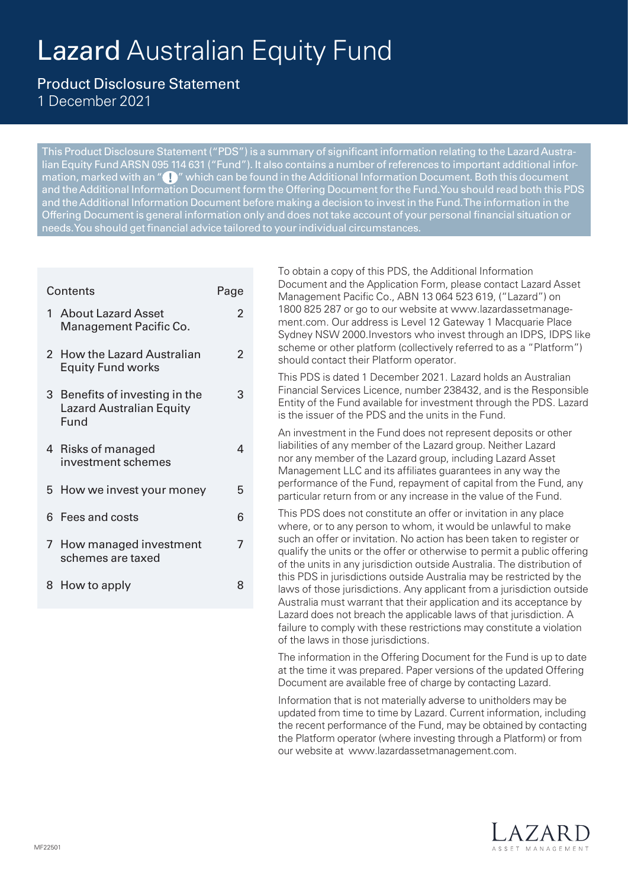# Lazard Australian Equity Fund

Product Disclosure Statement 1 December 2021

This Product Disclosure Statement ("PDS") is a summary of significant information relating to the Lazard Australian Equity Fund ARSN 095 114 631 ("Fund"). It also contains a number of references to important additional information, marked with an "  $\Box$  " which can be found in the Additional Information Document. Both this document and the Additional Information Document form the Offering Document for the Fund. You should read both this PDS and the Additional Information Document before making a decision to invest in the Fund. The information in the Offering Document is general information only and does not take account of your personal financial situation or needs. You should get financial advice tailored to your individual circumstances.

| Contents<br>Page |                                                                           |   |  |  |
|------------------|---------------------------------------------------------------------------|---|--|--|
|                  | 1 About Lazard Asset<br>Management Pacific Co.                            | 2 |  |  |
|                  | 2 How the Lazard Australian<br><b>Equity Fund works</b>                   | 2 |  |  |
|                  | 3 Benefits of investing in the<br><b>Lazard Australian Equity</b><br>Fund | 3 |  |  |
|                  | 4 Risks of managed<br>investment schemes                                  | 4 |  |  |
|                  | 5 How we invest your money                                                | 5 |  |  |
|                  | 6 Fees and costs                                                          | 6 |  |  |
| 7 <sup>7</sup>   | How managed investment<br>schemes are taxed                               | 7 |  |  |
|                  | 8 How to apply                                                            | 8 |  |  |

To obtain a copy of this PDS, the Additional Information Document and the Application Form, please contact Lazard Asset Management Pacific Co., ABN 13 064 523 619, ("Lazard") on [1800 825 287 or go to our website at www.lazardassetmanage](http://www.lazardassetmanagement.com)ment.com. Our address is Level 12 Gateway 1 Macquarie Place Sydney NSW 2000.Investors who invest through an IDPS, IDPS like scheme or other platform (collectively referred to as a "Platform") should contact their Platform operator. This PDS is dated 1 December 2021. Lazard holds an Australian

Financial Services Licence, number 238432, and is the Responsible Entity of the Fund available for investment through the PDS. Lazard is the issuer of the PDS and the units in the Fund.

An investment in the Fund does not represent deposits or other liabilities of any member of the Lazard group. Neither Lazard nor any member of the Lazard group, including Lazard Asset Management LLC and its affiliates guarantees in any way the performance of the Fund, repayment of capital from the Fund, any particular return from or any increase in the value of the Fund.

This PDS does not constitute an offer or invitation in any place where, or to any person to whom, it would be unlawful to make such an offer or invitation. No action has been taken to register or qualify the units or the offer or otherwise to permit a public offering of the units in any jurisdiction outside Australia. The distribution of this PDS in jurisdictions outside Australia may be restricted by the laws of those jurisdictions. Any applicant from a jurisdiction outside Australia must warrant that their application and its acceptance by Lazard does not breach the applicable laws of that jurisdiction. A failure to comply with these restrictions may constitute a violation of the laws in those jurisdictions.

The information in the Offering Document for the Fund is up to date at the time it was prepared. Paper versions of the updated Offering Document are available free of charge by contacting Lazard.

Information that is not materially adverse to unitholders may be updated from time to time by Lazard. Current information, including the recent performance of the Fund, may be obtained by contacting the Platform operator (where investing through a Platform) or from our website at www.lazardassetmanagement.com.

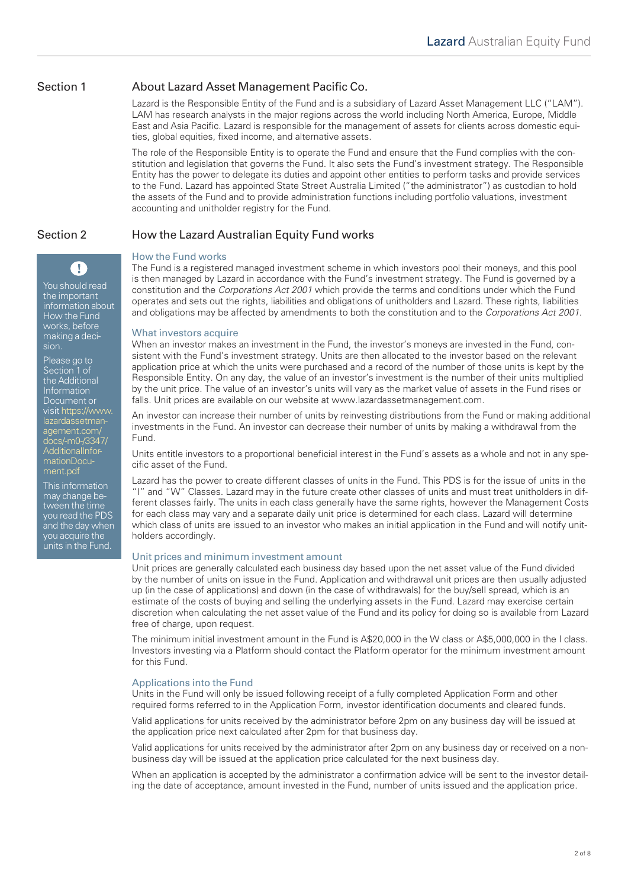### Section 1 About Lazard Asset Management Pacific Co.

Lazard is the Responsible Entity of the Fund and is a subsidiary of Lazard Asset Management LLC ("LAM"). LAM has research analysts in the major regions across the world including North America, Europe, Middle East and Asia Pacific. Lazard is responsible for the management of assets for clients across domestic equities, global equities, fixed income, and alternative assets.

The role of the Responsible Entity is to operate the Fund and ensure that the Fund complies with the constitution and legislation that governs the Fund. It also sets the Fund's investment strategy. The Responsible Entity has the power to delegate its duties and appoint other entities to perform tasks and provide services to the Fund. Lazard has appointed State Street Australia Limited ("the administrator") as custodian to hold the assets of the Fund and to provide administration functions including portfolio valuations, investment accounting and unitholder registry for the Fund.

# Section 2 How the Lazard Australian Equity Fund works

#### How the Fund works

The Fund is a registered managed investment scheme in which investors pool their moneys, and this pool is then managed by Lazard in accordance with the Fund's investment strategy. The Fund is governed by a constitution and the *Corporations Act 2001* which provide the terms and conditions under which the Fund operates and sets out the rights, liabilities and obligations of unitholders and Lazard. These rights, liabilities and obligations may be affected by amendments to both the constitution and to the *Corporations Act 2001.*

#### What investors acquire

When an investor makes an investment in the Fund, the investor's moneys are invested in the Fund, consistent with the Fund's investment strategy. Units are then allocated to the investor based on the relevant application price at which the units were purchased and a record of the number of those units is kept by the Responsible Entity. On any day, the value of an investor's investment is the number of their units multiplied by the unit price. The value of an investor's units will vary as the market value of assets in the Fund rises or falls. Unit prices are available on our website at www.lazardassetmanagement.com.

An investor can increase their number of units by reinvesting distributions from the Fund or making additional investments in the Fund. An investor can decrease their number of units by making a withdrawal from the Fund.

Units entitle investors to a proportional beneficial interest in the Fund's assets as a whole and not in any specific asset of the Fund.

Lazard has the power to create different classes of units in the Fund. This PDS is for the issue of units in the "I" and "W" Classes. Lazard may in the future create other classes of units and must treat unitholders in different classes fairly. The units in each class generally have the same rights, however the Management Costs for each class may vary and a separate daily unit price is determined for each class. Lazard will determine which class of units are issued to an investor who makes an initial application in the Fund and will notify unitholders accordingly.

#### Unit prices and minimum investment amount

Unit prices are generally calculated each business day based upon the net asset value of the Fund divided by the number of units on issue in the Fund. Application and withdrawal unit prices are then usually adjusted up (in the case of applications) and down (in the case of withdrawals) for the buy/sell spread, which is an estimate of the costs of buying and selling the underlying assets in the Fund. Lazard may exercise certain discretion when calculating the net asset value of the Fund and its policy for doing so is available from Lazard free of charge, upon request.

The minimum initial investment amount in the Fund is A\$20,000 in the W class or A\$5,000,000 in the I class. Investors investing via a Platform should contact the Platform operator for the minimum investment amount for this Fund.

#### Applications into the Fund

Units in the Fund will only be issued following receipt of a fully completed Application Form and other required forms referred to in the Application Form, investor identification documents and cleared funds.

Valid applications for units received by the administrator before 2pm on any business day will be issued at the application price next calculated after 2pm for that business day.

Valid applications for units received by the administrator after 2pm on any business day or received on a nonbusiness day will be issued at the application price calculated for the next business day.

When an application is accepted by the administrator a confirmation advice will be sent to the investor detailing the date of acceptance, amount invested in the Fund, number of units issued and the application price.

How the Fund works, before making a decision. Please go to Section 1 of the Additional Information

You should read the important information about

A

Document or [visit https://www.](https://www.lazardassetmanagement.com/docs/-m0-/3347/AdditionalInformationDocument.pdf) lazardassetmanagement.com/ docs/-m0-/3347/ AdditionalInformationDocument.pdf

This information may change between the time you read the PDS and the day when you acquire the units in the Fund.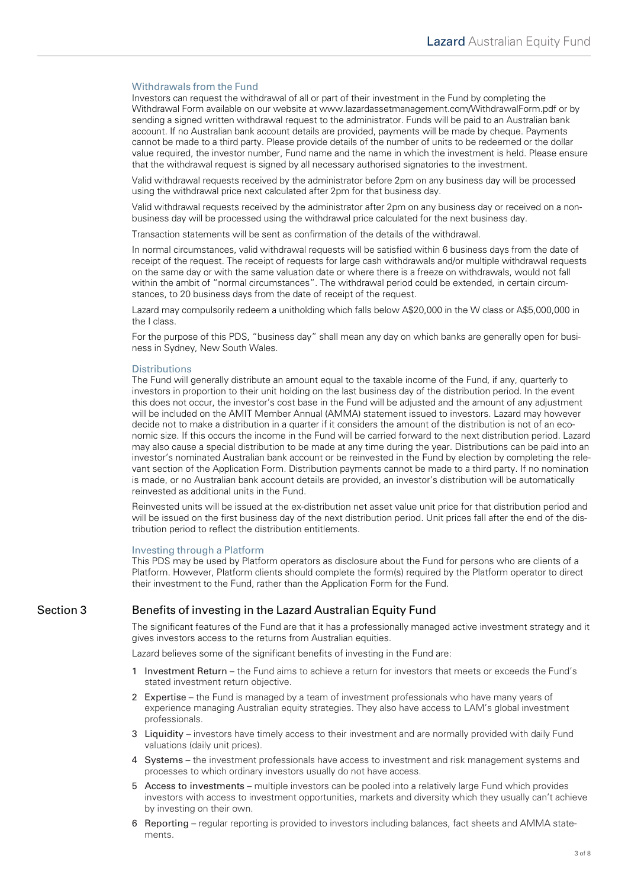#### Withdrawals from the Fund

Investors can request the withdrawal of all or part of their investment in the Fund by completing the Withdrawal Form available on our website at [www.lazardassetmanagement.com/WithdrawalForm.pdf](https://www.lazardassetmanagement.com/docs/-m0-/24350/with-drawalform_en.pdf) or by sending a signed written withdrawal request to the administrator. Funds will be paid to an Australian bank account. If no Australian bank account details are provided, payments will be made by cheque. Payments cannot be made to a third party. Please provide details of the number of units to be redeemed or the dollar value required, the investor number, Fund name and the name in which the investment is held. Please ensure that the withdrawal request is signed by all necessary authorised signatories to the investment.

Valid withdrawal requests received by the administrator before 2pm on any business day will be processed using the withdrawal price next calculated after 2pm for that business day.

Valid withdrawal requests received by the administrator after 2pm on any business day or received on a nonbusiness day will be processed using the withdrawal price calculated for the next business day.

Transaction statements will be sent as confirmation of the details of the withdrawal.

In normal circumstances, valid withdrawal requests will be satisfied within 6 business days from the date of receipt of the request. The receipt of requests for large cash withdrawals and/or multiple withdrawal requests on the same day or with the same valuation date or where there is a freeze on withdrawals, would not fall within the ambit of "normal circumstances". The withdrawal period could be extended, in certain circumstances, to 20 business days from the date of receipt of the request.

Lazard may compulsorily redeem a unitholding which falls below A\$20,000 in the W class or A\$5,000,000 in the I class.

For the purpose of this PDS, "business day" shall mean any day on which banks are generally open for business in Sydney, New South Wales.

#### **Distributions**

The Fund will generally distribute an amount equal to the taxable income of the Fund, if any, quarterly to investors in proportion to their unit holding on the last business day of the distribution period. In the event this does not occur, the investor's cost base in the Fund will be adjusted and the amount of any adjustment will be included on the AMIT Member Annual (AMMA) statement issued to investors. Lazard may however decide not to make a distribution in a quarter if it considers the amount of the distribution is not of an economic size. If this occurs the income in the Fund will be carried forward to the next distribution period. Lazard may also cause a special distribution to be made at any time during the year. Distributions can be paid into an investor's nominated Australian bank account or be reinvested in the Fund by election by completing the relevant section of the Application Form. Distribution payments cannot be made to a third party. If no nomination is made, or no Australian bank account details are provided, an investor's distribution will be automatically reinvested as additional units in the Fund.

Reinvested units will be issued at the ex-distribution net asset value unit price for that distribution period and will be issued on the first business day of the next distribution period. Unit prices fall after the end of the distribution period to reflect the distribution entitlements.

#### Investing through a Platform

This PDS may be used by Platform operators as disclosure about the Fund for persons who are clients of a Platform. However, Platform clients should complete the form(s) required by the Platform operator to direct their investment to the Fund, rather than the Application Form for the Fund.

#### Section 3 Benefits of investing in the Lazard Australian Equity Fund

The significant features of the Fund are that it has a professionally managed active investment strategy and it gives investors access to the returns from Australian equities.

Lazard believes some of the significant benefits of investing in the Fund are:

- 1 Investment Return the Fund aims to achieve a return for investors that meets or exceeds the Fund's stated investment return objective.
- 2 Expertise the Fund is managed by a team of investment professionals who have many years of experience managing Australian equity strategies. They also have access to LAM's global investment professionals.
- 3 Liquidity investors have timely access to their investment and are normally provided with daily Fund valuations (daily unit prices).
- 4 Systems the investment professionals have access to investment and risk management systems and processes to which ordinary investors usually do not have access.
- 5 Access to investments multiple investors can be pooled into a relatively large Fund which provides investors with access to investment opportunities, markets and diversity which they usually can't achieve by investing on their own.
- 6 Reporting regular reporting is provided to investors including balances, fact sheets and AMMA statements.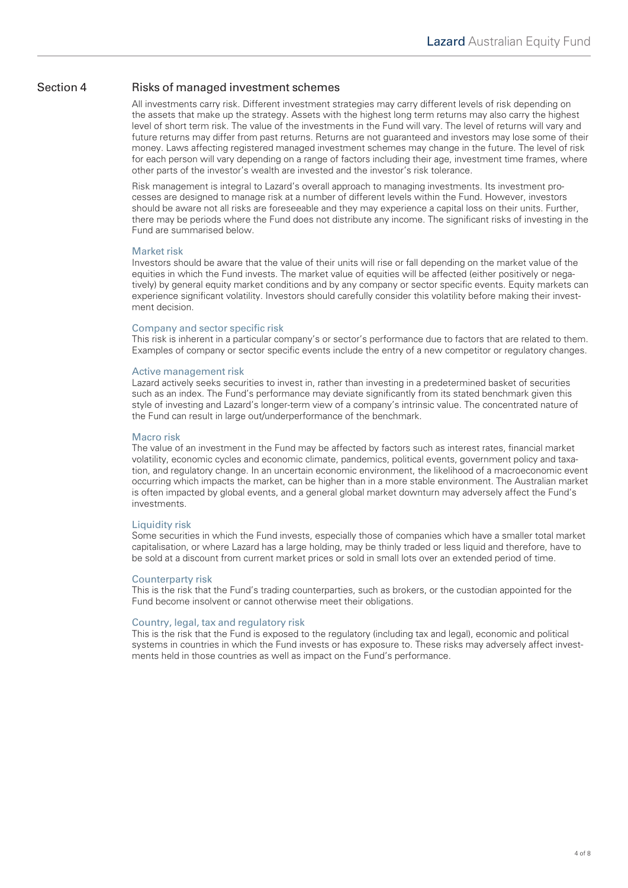### Section 4 Risks of managed investment schemes

All investments carry risk. Different investment strategies may carry different levels of risk depending on the assets that make up the strategy. Assets with the highest long term returns may also carry the highest level of short term risk. The value of the investments in the Fund will vary. The level of returns will vary and future returns may differ from past returns. Returns are not guaranteed and investors may lose some of their money. Laws affecting registered managed investment schemes may change in the future. The level of risk for each person will vary depending on a range of factors including their age, investment time frames, where other parts of the investor's wealth are invested and the investor's risk tolerance.

Risk management is integral to Lazard's overall approach to managing investments. Its investment processes are designed to manage risk at a number of different levels within the Fund. However, investors should be aware not all risks are foreseeable and they may experience a capital loss on their units. Further, there may be periods where the Fund does not distribute any income. The significant risks of investing in the Fund are summarised below.

#### Market risk

Investors should be aware that the value of their units will rise or fall depending on the market value of the equities in which the Fund invests. The market value of equities will be affected (either positively or negatively) by general equity market conditions and by any company or sector specific events. Equity markets can experience significant volatility. Investors should carefully consider this volatility before making their investment decision.

#### Company and sector specific risk

This risk is inherent in a particular company's or sector's performance due to factors that are related to them. Examples of company or sector specific events include the entry of a new competitor or regulatory changes.

#### Active management risk

Lazard actively seeks securities to invest in, rather than investing in a predetermined basket of securities such as an index. The Fund's performance may deviate significantly from its stated benchmark given this style of investing and Lazard's longer-term view of a company's intrinsic value. The concentrated nature of the Fund can result in large out/underperformance of the benchmark.

#### Macro risk

The value of an investment in the Fund may be affected by factors such as interest rates, financial market volatility, economic cycles and economic climate, pandemics, political events, government policy and taxation, and regulatory change. In an uncertain economic environment, the likelihood of a macroeconomic event occurring which impacts the market, can be higher than in a more stable environment. The Australian market is often impacted by global events, and a general global market downturn may adversely affect the Fund's investments.

#### Liquidity risk

Some securities in which the Fund invests, especially those of companies which have a smaller total market capitalisation, or where Lazard has a large holding, may be thinly traded or less liquid and therefore, have to be sold at a discount from current market prices or sold in small lots over an extended period of time.

#### Counterparty risk

This is the risk that the Fund's trading counterparties, such as brokers, or the custodian appointed for the Fund become insolvent or cannot otherwise meet their obligations.

#### Country, legal, tax and regulatory risk

This is the risk that the Fund is exposed to the regulatory (including tax and legal), economic and political systems in countries in which the Fund invests or has exposure to. These risks may adversely affect investments held in those countries as well as impact on the Fund's performance.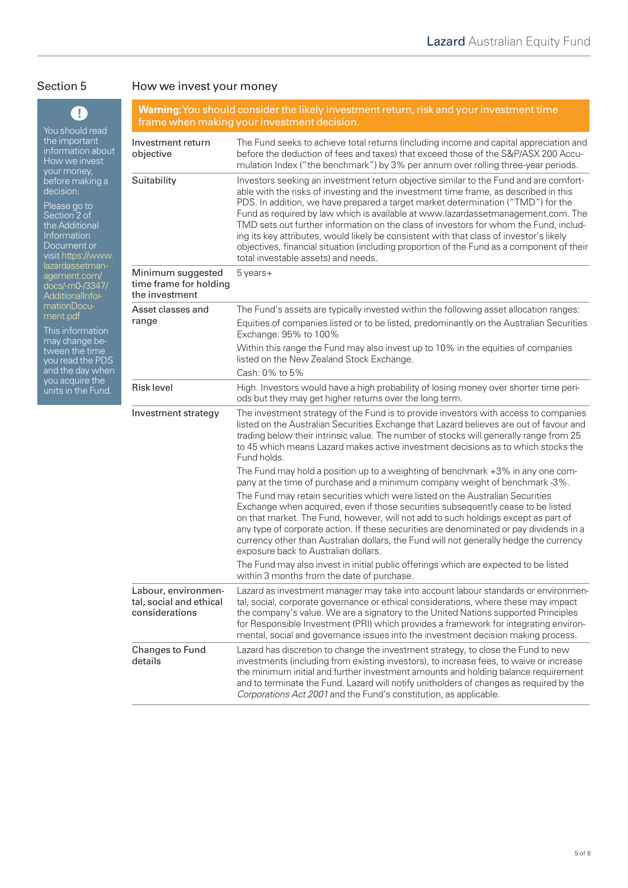## Section 5 How we invest your money

| Ţ<br>You should read                                                                                                               | <b>Warning:</b> You should consider the likely investment return, risk and your investment time<br>frame when making your investment decision. |                                                                                                                                                                                                                                                                                                                                                                                                                                                                                                                                                                                                                                                                               |  |
|------------------------------------------------------------------------------------------------------------------------------------|------------------------------------------------------------------------------------------------------------------------------------------------|-------------------------------------------------------------------------------------------------------------------------------------------------------------------------------------------------------------------------------------------------------------------------------------------------------------------------------------------------------------------------------------------------------------------------------------------------------------------------------------------------------------------------------------------------------------------------------------------------------------------------------------------------------------------------------|--|
| the important<br>information about<br>How we invest<br>your money,                                                                 | Investment return<br>objective                                                                                                                 | The Fund seeks to achieve total returns (including income and capital appreciation and<br>before the deduction of fees and taxes) that exceed those of the S&P/ASX 200 Accu-<br>mulation Index ("the benchmark") by 3% per annum over rolling three-year periods.                                                                                                                                                                                                                                                                                                                                                                                                             |  |
| before making a<br>decision.<br>Please go to<br>Section 2 of<br>the Additional<br>Information<br>Document or<br>visit https://www. | Suitability                                                                                                                                    | Investors seeking an investment return objective similar to the Fund and are comfort-<br>able with the risks of investing and the investment time frame, as described in this<br>PDS. In addition, we have prepared a target market determination ("TMD") for the<br>Fund as required by law which is available at www.lazardassetmanagement.com. The<br>TMD sets out further information on the class of investors for whom the Fund, includ-<br>ing its key attributes, would likely be consistent with that class of investor's likely<br>objectives, financial situation (including proportion of the Fund as a component of their<br>total investable assets) and needs. |  |
| lazardassetman-<br>agement.com/<br>docs/-m0-/3347/<br><b>AdditionalInfor-</b>                                                      | Minimum suggested<br>time frame for holding<br>the investment                                                                                  | $5$ years +                                                                                                                                                                                                                                                                                                                                                                                                                                                                                                                                                                                                                                                                   |  |
| mationDocu-<br>ment.pdf<br>This information                                                                                        | Asset classes and<br>range                                                                                                                     | The Fund's assets are typically invested within the following asset allocation ranges:<br>Equities of companies listed or to be listed, predominantly on the Australian Securities<br>Exchange: 95% to 100%                                                                                                                                                                                                                                                                                                                                                                                                                                                                   |  |
| may change be-<br>tween the time<br>you read the PDS<br>and the day when                                                           |                                                                                                                                                | Within this range the Fund may also invest up to 10% in the equities of companies<br>listed on the New Zealand Stock Exchange.<br>Cash: 0% to 5%                                                                                                                                                                                                                                                                                                                                                                                                                                                                                                                              |  |
| you acquire the<br>units in the Fund.                                                                                              | <b>Risk level</b>                                                                                                                              | High. Investors would have a high probability of losing money over shorter time peri-<br>ods but they may get higher returns over the long term.                                                                                                                                                                                                                                                                                                                                                                                                                                                                                                                              |  |
|                                                                                                                                    | Investment strategy                                                                                                                            | The investment strategy of the Fund is to provide investors with access to companies<br>listed on the Australian Securities Exchange that Lazard believes are out of favour and<br>trading below their intrinsic value. The number of stocks will generally range from 25<br>to 45 which means Lazard makes active investment decisions as to which stocks the<br>Fund holds.                                                                                                                                                                                                                                                                                                 |  |
|                                                                                                                                    |                                                                                                                                                | The Fund may hold a position up to a weighting of benchmark +3% in any one com-<br>pany at the time of purchase and a minimum company weight of benchmark -3%.                                                                                                                                                                                                                                                                                                                                                                                                                                                                                                                |  |
|                                                                                                                                    |                                                                                                                                                | The Fund may retain securities which were listed on the Australian Securities<br>Exchange when acquired, even if those securities subsequently cease to be listed<br>on that market. The Fund, however, will not add to such holdings except as part of<br>any type of corporate action. If these securities are denominated or pay dividends in a<br>currency other than Australian dollars, the Fund will not generally hedge the currency<br>exposure back to Australian dollars.                                                                                                                                                                                          |  |
|                                                                                                                                    |                                                                                                                                                | The Fund may also invest in initial public offerings which are expected to be listed<br>within 3 months from the date of purchase.                                                                                                                                                                                                                                                                                                                                                                                                                                                                                                                                            |  |
|                                                                                                                                    | Labour, environmen-<br>tal, social and ethical<br>considerations                                                                               | Lazard as investment manager may take into account labour standards or environmen-<br>tal, social, corporate governance or ethical considerations, where these may impact<br>the company's value. We are a signatory to the United Nations supported Principles<br>for Responsible Investment (PRI) which provides a framework for integrating environ-<br>mental, social and governance issues into the investment decision making process.                                                                                                                                                                                                                                  |  |
|                                                                                                                                    | Changes to Fund<br>details                                                                                                                     | Lazard has discretion to change the investment strategy, to close the Fund to new<br>investments (including from existing investors), to increase fees, to waive or increase<br>the minimum initial and further investment amounts and holding balance requirement<br>and to terminate the Fund. Lazard will notify unitholders of changes as required by the<br>Corporations Act 2001 and the Fund's constitution, as applicable.                                                                                                                                                                                                                                            |  |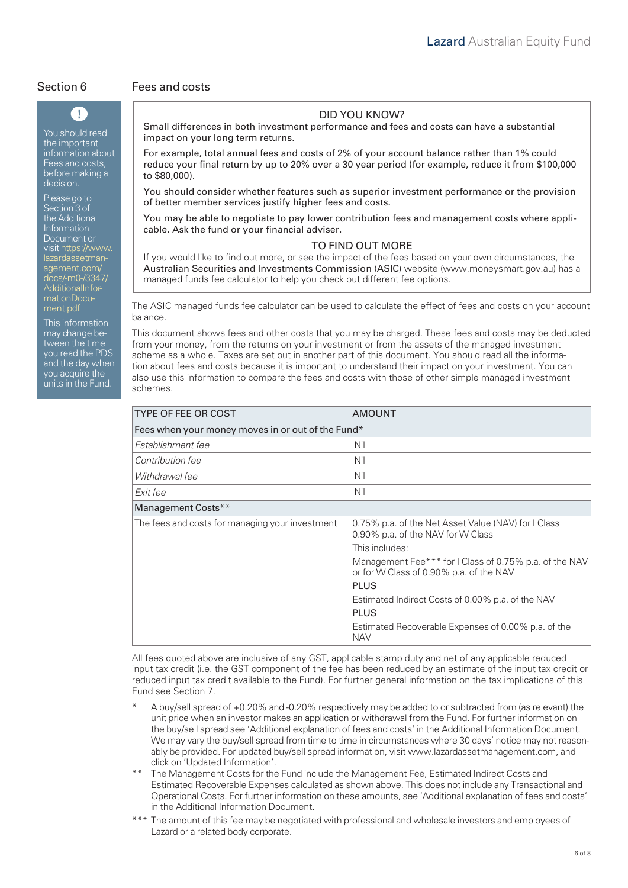You should read the important information about Fees and costs. before making a decision.

 $\mathbf \Omega$ 

Please go to Section 3 of the Additional Information Document or [visit https://www.](https://www.lazardassetmanagement.com/docs/-m0-/3347/AdditionalInformationDocument.pdf) lazardassetmanagement.com/ docs/-m0-/3347/ AdditionalInformationDocument.pdf

This information may change between the time you read the PDS and the day when you acquire the units in the Fund.

#### Section 6 Fees and costs

### DID YOU KNOW?

Small differences in both investment performance and fees and costs can have a substantial impact on your long term returns.

For example, total annual fees and costs of 2% of your account balance rather than 1% could reduce your final return by up to 20% over a 30 year period (for example, reduce it from \$100,000 to \$80,000).

You should consider whether features such as superior investment performance or the provision of better member services justify higher fees and costs.

You may be able to negotiate to pay lower contribution fees and management costs where applicable. Ask the fund or your financial adviser.

#### TO FIND OUT MORE

If you would like to find out more, or see the impact of the fees based on your own circumstances, the Australian Securities and Investments Commission (ASIC) website (www.moneysmart.gov.au) has a managed funds fee calculator to help you check out different fee options.

The ASIC managed funds fee calculator can be used to calculate the effect of fees and costs on your account balance.

This document shows fees and other costs that you may be charged. These fees and costs may be deducted from your money, from the returns on your investment or from the assets of the managed investment scheme as a whole. Taxes are set out in another part of this document. You should read all the information about fees and costs because it is important to understand their impact on your investment. You can also use this information to compare the fees and costs with those of other simple managed investment schemes.

| <b>TYPE OF FEE OR COST</b>                        | AMOUNT                                                                                            |  |  |  |
|---------------------------------------------------|---------------------------------------------------------------------------------------------------|--|--|--|
| Fees when your money moves in or out of the Fund* |                                                                                                   |  |  |  |
| Establishment fee                                 | Nil                                                                                               |  |  |  |
| Contribution fee                                  | Nil                                                                                               |  |  |  |
| Withdrawal fee                                    | Nil                                                                                               |  |  |  |
| Exit fee                                          | Nil                                                                                               |  |  |  |
| Management Costs**                                |                                                                                                   |  |  |  |
| The fees and costs for managing your investment   | 0.75% p.a. of the Net Asset Value (NAV) for I Class<br>0.90% p.a. of the NAV for W Class          |  |  |  |
|                                                   | This includes:                                                                                    |  |  |  |
|                                                   | Management Fee*** for I Class of 0.75% p.a. of the NAV<br>or for W Class of 0.90% p.a. of the NAV |  |  |  |
|                                                   | <b>PLUS</b>                                                                                       |  |  |  |
|                                                   | Estimated Indirect Costs of 0.00% p.a. of the NAV                                                 |  |  |  |
|                                                   | <b>PLUS</b>                                                                                       |  |  |  |
|                                                   | Estimated Recoverable Expenses of 0.00% p.a. of the<br><b>NAV</b>                                 |  |  |  |

All fees quoted above are inclusive of any GST, applicable stamp duty and net of any applicable reduced input tax credit (i.e. the GST component of the fee has been reduced by an estimate of the input tax credit or reduced input tax credit available to the Fund). For further general information on the tax implications of this Fund see Section 7.

- A buy/sell spread of +0.20% and -0.20% respectively may be added to or subtracted from (as relevant) the unit price when an investor makes an application or withdrawal from the Fund. For further information on the buy/sell spread see 'Additional explanation of fees and costs' in the Additional Information Document. We may vary the buy/sell spread from time to time in circumstances where 30 days' notice may not reasonably be provided. For updated buy/sell spread information, visit www.lazardassetmanagement.com, and click on 'Updated Information'.
- The Management Costs for the Fund include the Management Fee, Estimated Indirect Costs and Estimated Recoverable Expenses calculated as shown above. This does not include any Transactional and Operational Costs. For further information on these amounts, see 'Additional explanation of fees and costs' in the Additional Information Document.
- \*\*\* The amount of this fee may be negotiated with professional and wholesale investors and employees of Lazard or a related body corporate.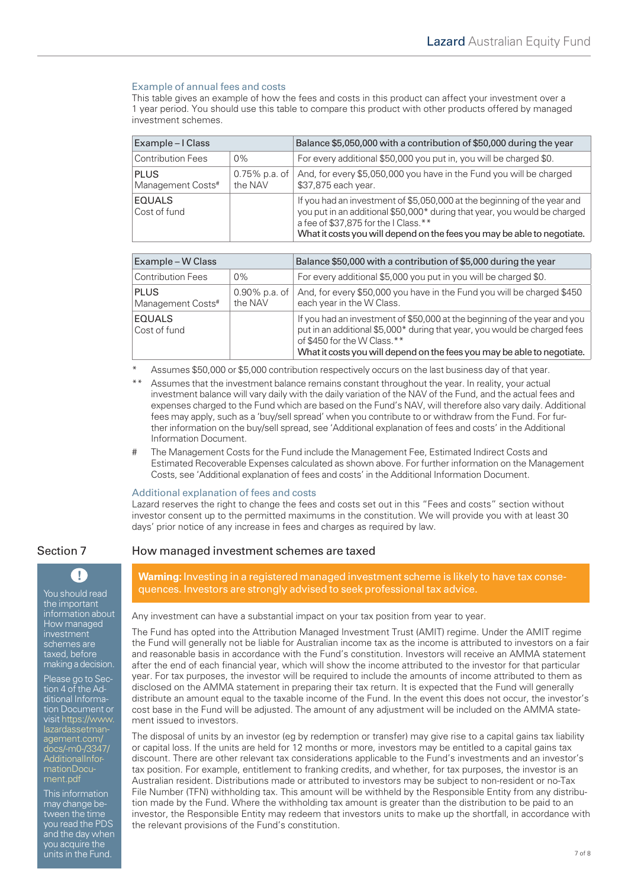#### Example of annual fees and costs

This table gives an example of how the fees and costs in this product can affect your investment over a 1 year period. You should use this table to compare this product with other products offered by managed investment schemes.

| Example – I Class                |                          | Balance \$5,050,000 with a contribution of \$50,000 during the year                                                                                                                                                                                                      |
|----------------------------------|--------------------------|--------------------------------------------------------------------------------------------------------------------------------------------------------------------------------------------------------------------------------------------------------------------------|
| <b>Contribution Fees</b>         | $0\%$                    | For every additional \$50,000 you put in, you will be charged \$0.                                                                                                                                                                                                       |
| <b>PLUS</b><br>Management Costs# | 0.75% p.a. of<br>the NAV | And, for every \$5,050,000 you have in the Fund you will be charged<br>\$37,875 each year.                                                                                                                                                                               |
| <b>EQUALS</b><br>Cost of fund    |                          | If you had an investment of \$5,050,000 at the beginning of the year and<br>you put in an additional \$50,000* during that year, you would be charged<br>a fee of \$37,875 for the I Class.**<br>What it costs you will depend on the fees you may be able to negotiate. |

| Example – W Class                |                             | Balance \$50,000 with a contribution of \$5,000 during the year                                                                                                                                                                                                  |
|----------------------------------|-----------------------------|------------------------------------------------------------------------------------------------------------------------------------------------------------------------------------------------------------------------------------------------------------------|
| <b>Contribution Fees</b>         | $0\%$                       | For every additional \$5,000 you put in you will be charged \$0.                                                                                                                                                                                                 |
| <b>PLUS</b><br>Management Costs# | $0.90\%$ p.a. of<br>the NAV | And, for every \$50,000 you have in the Fund you will be charged \$450<br>each year in the W Class.                                                                                                                                                              |
| <b>EQUALS</b><br>Cost of fund    |                             | If you had an investment of \$50,000 at the beginning of the year and you<br>put in an additional \$5,000* during that year, you would be charged fees<br>of \$450 for the W Class.**<br>What it costs you will depend on the fees you may be able to negotiate. |

Assumes \$50,000 or \$5,000 contribution respectively occurs on the last business day of that year.

- Assumes that the investment balance remains constant throughout the year. In reality, your actual investment balance will vary daily with the daily variation of the NAV of the Fund, and the actual fees and expenses charged to the Fund which are based on the Fund's NAV, will therefore also vary daily. Additional fees may apply, such as a 'buy/sell spread' when you contribute to or withdraw from the Fund. For further information on the buy/sell spread, see 'Additional explanation of fees and costs' in the Additional Information Document.
- # The Management Costs for the Fund include the Management Fee, Estimated Indirect Costs and Estimated Recoverable Expenses calculated as shown above. For further information on the Management Costs, see 'Additional explanation of fees and costs' in the Additional Information Document.

#### Additional explanation of fees and costs

Lazard reserves the right to change the fees and costs set out in this "Fees and costs" section without investor consent up to the permitted maximums in the constitution. We will provide you with at least 30 days' prior notice of any increase in fees and charges as required by law.

# T

You should read the important information about How managed investment schemes are taxed, before making a decision.

Please go to Section 4 of the Additional Information Document or [visit https://www.](https://www.lazardassetmanagement.com/docs/-m0-/3347/AdditionalInformationDocument.pdf) agement.com/ docs/-m0-/3347/ AdditionalInformationDocument.pdf

This information may change between the time you read the PDS and the day when you acquire the units in the Fund.

### Section 7 How managed investment schemes are taxed

**Warning:** Investing in a registered managed investment scheme is likely to have tax consequences. Investors are strongly advised to seek professional tax advice.

Any investment can have a substantial impact on your tax position from year to year.

The Fund has opted into the Attribution Managed Investment Trust (AMIT) regime. Under the AMIT regime the Fund will generally not be liable for Australian income tax as the income is attributed to investors on a fair and reasonable basis in accordance with the Fund's constitution. Investors will receive an AMMA statement after the end of each financial year, which will show the income attributed to the investor for that particular year. For tax purposes, the investor will be required to include the amounts of income attributed to them as disclosed on the AMMA statement in preparing their tax return. It is expected that the Fund will generally distribute an amount equal to the taxable income of the Fund. In the event this does not occur, the investor's cost base in the Fund will be adjusted. The amount of any adjustment will be included on the AMMA statement issued to investors.

The disposal of units by an investor (eg by redemption or transfer) may give rise to a capital gains tax liability or capital loss. If the units are held for 12 months or more, investors may be entitled to a capital gains tax discount. There are other relevant tax considerations applicable to the Fund's investments and an investor's tax position. For example, entitlement to franking credits, and whether, for tax purposes, the investor is an Australian resident. Distributions made or attributed to investors may be subject to non-resident or no-Tax File Number (TFN) withholding tax. This amount will be withheld by the Responsible Entity from any distribution made by the Fund. Where the withholding tax amount is greater than the distribution to be paid to an investor, the Responsible Entity may redeem that investors units to make up the shortfall, in accordance with the relevant provisions of the Fund's constitution.